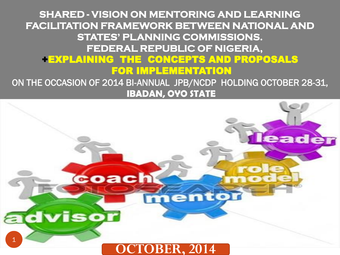**SHARED - VISION ON MENTORING AND LEARNING FACILITATION FRAMEWORK BETWEEN NATIONAL AND STATES' PLANNING COMMISSIONS. FEDERAL REPUBLIC OF NIGERIA,**  +EXPLAINING THE CONCEPTS AND PROPOSALS FOR IMPLEMENTATION

#### ON THE OCCASION OF 2014 BI-ANNUAL JPB/NCDP HOLDING OCTOBER 28-31, **IBADAN, OYO STATE**

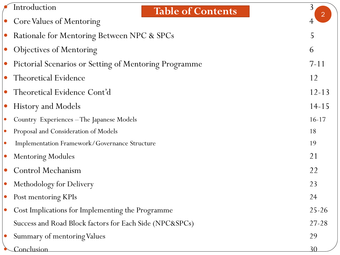|           | Introduction<br><b>Table of Contents</b>                | $\overline{3}$<br>$\overline{2}$ |
|-----------|---------------------------------------------------------|----------------------------------|
|           | <b>Core Values of Mentoring</b>                         | $\overline{4}$                   |
| $\bullet$ | Rationale for Mentoring Between NPC & SPCs              | 5                                |
| $\bullet$ | <b>Objectives of Mentoring</b>                          | 6                                |
| $\bullet$ | Pictorial Scenarios or Setting of Mentoring Programme   | $7 - 11$                         |
| $\bullet$ | Theoretical Evidence                                    | 12                               |
| $\bullet$ | Theoretical Evidence Cont'd                             | $12 - 13$                        |
| $\bullet$ | <b>History and Models</b>                               | $14 - 15$                        |
|           | Country Experiences - The Japanese Models               | $16 - 17$                        |
|           | Proposal and Consideration of Models                    | 18                               |
| $\bullet$ | Implementation Framework/Governance Structure           | 19                               |
| $\bullet$ | <b>Mentoring Modules</b>                                | 21                               |
|           | Control Mechanism                                       | 22                               |
| $\bullet$ | Methodology for Delivery                                | 23                               |
|           | Post mentoring KPIs                                     | 24                               |
|           | Cost Implications for Implementing the Programme        | $25 - 26$                        |
|           | Success and Road Block factors for Each Side (NPC&SPCs) | $27 - 28$                        |
|           | Summary of mentoring Values                             | 29                               |
|           | Conclusion                                              | 30                               |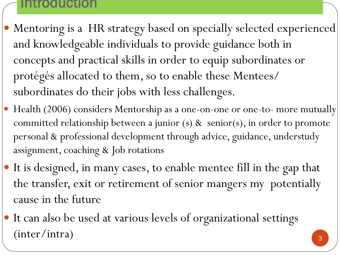#### Introduction

- Mentoring is a HR strategy based on specially selected experienced and knowledgeable individuals to provide guidance both in concepts and practical skills in order to equip subordinates or protégés allocated to them, so to enable these Mentees/ subordinates do their jobs with less challenges.
- Health (2006) considers Mentorship as a one-on-one or one-to- more mutually committed relationship between a junior (s) & senior(s), in order to promote personal & professional development through advice, guidance, understudy assignment, coaching & Job rotations
- It is designed, in many cases, to enable mentee fill in the gap that the transfer, exit or retirement of senior mangers my potentially cause in the future
- It can also be used at various levels of organizational settings  $(inter/intra)$  3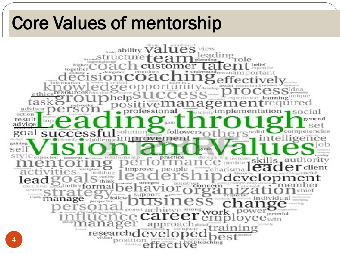# Core Values of mentorship

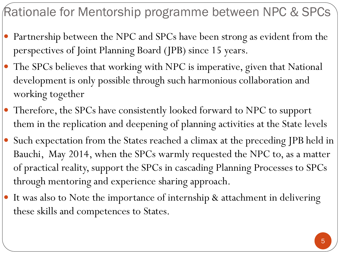Rationale for Mentorship programme between NPC & SPCs

- Partnership between the NPC and SPCs have been strong as evident from the perspectives of Joint Planning Board (JPB) since 15 years.
- The SPCs believes that working with NPC is imperative, given that National development is only possible through such harmonious collaboration and working together
- Therefore, the SPCs have consistently looked forward to NPC to support them in the replication and deepening of planning activities at the State levels
- Such expectation from the States reached a climax at the preceding JPB held in Bauchi, May 2014, when the SPCs warmly requested the NPC to, as a matter of practical reality, support the SPCs in cascading Planning Processes to SPCs through mentoring and experience sharing approach.
- It was also to Note the importance of internship & attachment in delivering these skills and competences to States.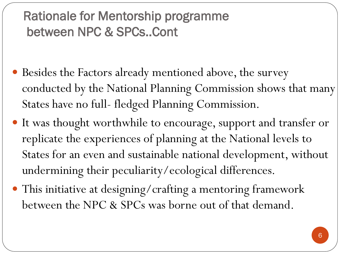## Rationale for Mentorship programme between NPC & SPCs..Cont

- Besides the Factors already mentioned above, the survey conducted by the National Planning Commission shows that many States have no full- fledged Planning Commission.
- It was thought worthwhile to encourage, support and transfer or replicate the experiences of planning at the National levels to States for an even and sustainable national development, without undermining their peculiarity/ecological differences.
- This initiative at designing/crafting a mentoring framework between the NPC & SPCs was borne out of that demand.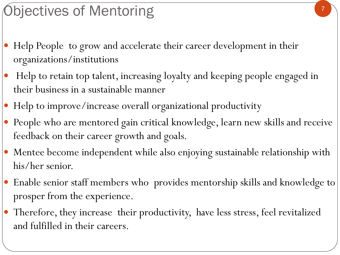## Objectives of Mentoring

- Help People to grow and accelerate their career development in their organizations/institutions
- $\bullet$  Help to retain top talent, increasing loyalty and keeping people engaged in their business in a sustainable manner
- $\bullet$  Help to improve/increase overall organizational productivity
- People who are mentored gain critical knowledge, learn new skills and receive feedback on their career growth and goals.
- Mentee become independent while also enjoying sustainable relationship with his/her senior.
- $\bullet$  Enable senior staff members who provides mentorship skills and knowledge to prosper from the experience.
- Therefore, they increase their productivity, have less stress, feel revitalized and fulfilled in their careers.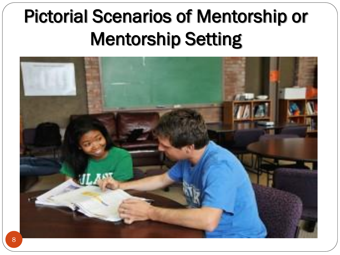# Pictorial Scenarios of Mentorship or Mentorship Setting

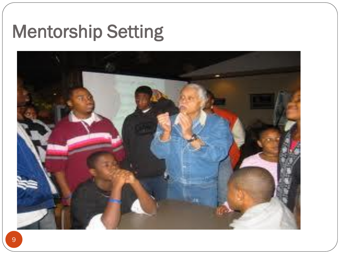# Mentorship Setting

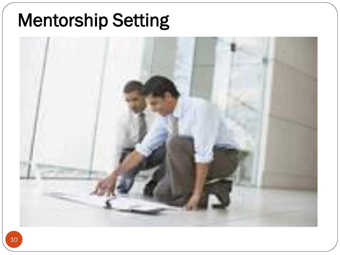# Mentorship Setting

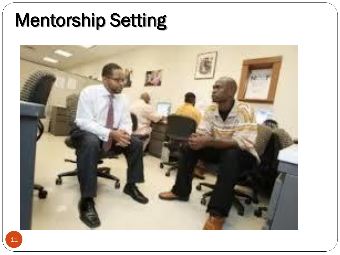# Mentorship Setting

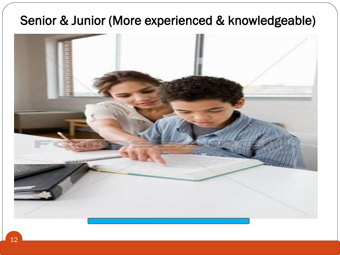#### Senior & Junior (More experienced & knowledgeable)

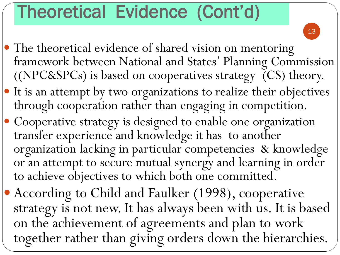# Theoretical Evidence (Cont'd)

- The theoretical evidence of shared vision on mentoring framework between National and States' Planning Commission ((NPC&SPCs) is based on cooperatives strategy (CS) theory.
- $\mid\bullet\mid$  It is an attempt by two organizations to realize their objectives through cooperation rather than engaging in competition.
- Cooperative strategy is designed to enable one organization transfer experience and knowledge it has to another organization lacking in particular competencies & knowledge or an attempt to secure mutual synergy and learning in order to achieve objectives to which both one committed.
- According to Child and Faulker (1998), cooperative strategy is not new. It has always been with us. It is based on the achievement of agreements and plan to work together rather than giving orders down the hierarchies.

13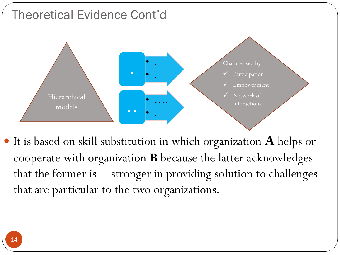

 It is based on skill substitution in which organization **A** helps or cooperate with organization **B** because the latter acknowledges that the former is stronger in providing solution to challenges that are particular to the two organizations.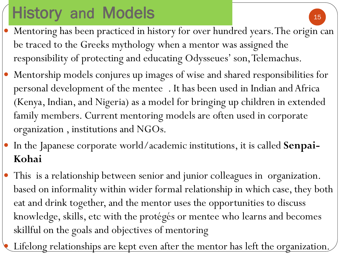# History and Models

- Mentoring has been practiced in history for over hundred years. The origin can be traced to the Greeks mythology when a mentor was assigned the responsibility of protecting and educating Odysseues' son, Telemachus.
- Mentorship models conjures up images of wise and shared responsibilities for personal development of the mentee . It has been used in Indian and Africa (Kenya, Indian, and Nigeria) as a model for bringing up children in extended family members. Current mentoring models are often used in corporate organization , institutions and NGOs.
- In the Japanese corporate world/academic institutions, it is called **Senpai-Kohai**
- This is a relationship between senior and junior colleagues in organization. based on informality within wider formal relationship in which case, they both eat and drink together, and the mentor uses the opportunities to discuss knowledge, skills, etc with the protégés or mentee who learns and becomes skillful on the goals and objectives of mentoring

Lifelong relationships are kept even after the mentor has left the organization.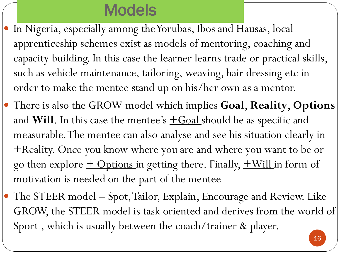## Models

- In Nigeria, especially among the Yorubas, Ibos and Hausas, local apprenticeship schemes exist as models of mentoring, coaching and capacity building. In this case the learner learns trade or practical skills, such as vehicle maintenance, tailoring, weaving, hair dressing etc in order to make the mentee stand up on his/her own as a mentor.
- There is also the GROW model which implies **Goal**, **Reality**, **Options** and **Will**. In this case the mentee's  $\pm$  Goal should be as specific and measurable. The mentee can also analyse and see his situation clearly in +Reality. Once you know where you are and where you want to be or go then explore  $+$  Options in getting there. Finally,  $+$ Will in form of motivation is needed on the part of the mentee
- The STEER model Spot, Tailor, Explain, Encourage and Review. Like GROW, the STEER model is task oriented and derives from the world of Sport , which is usually between the coach/trainer & player.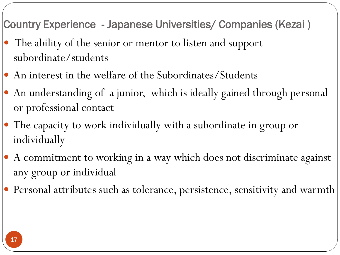Country Experience - Japanese Universities/ Companies (Kezai )

- The ability of the senior or mentor to listen and support subordinate/students
- An interest in the welfare of the Subordinates/Students
- An understanding of a junior, which is ideally gained through personal or professional contact
- The capacity to work individually with a subordinate in group or individually
- A commitment to working in a way which does not discriminate against any group or individual
- **Personal attributes such as tolerance, persistence, sensitivity and warmth**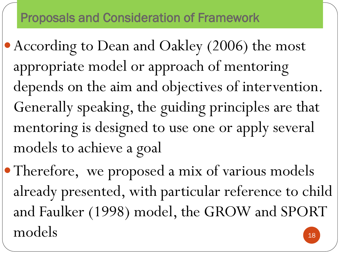## Proposals and Consideration of Framework

- According to Dean and Oakley (2006) the most appropriate model or approach of mentoring depends on the aim and objectives of intervention. Generally speaking, the guiding principles are that mentoring is designed to use one or apply several models to achieve a goal
- Therefore, we proposed a mix of various models already presented, with particular reference to child and Faulker (1998) model, the GROW and SPORT models <sup>18</sup>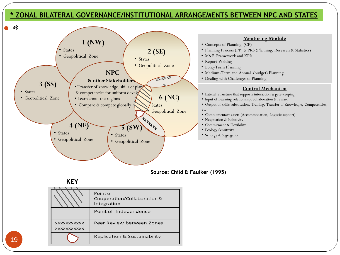#### **\* ZONAL BILATERAL GOVERNANCE/INSTITUTIONAL ARRANGEMENTS BETWEEN NPC AND STATES**



#### **Source: Child & Faulker (1995)**

#### **KEY**

|                                          | Point of<br>Cooperation/Collaboration &<br>Integration |
|------------------------------------------|--------------------------------------------------------|
|                                          | Point of Independence                                  |
| <b>XXXXXXXXXXX</b><br><b>XXXXXXXXXXX</b> | Peer Review between Zones                              |
|                                          | Replication & Sustainability                           |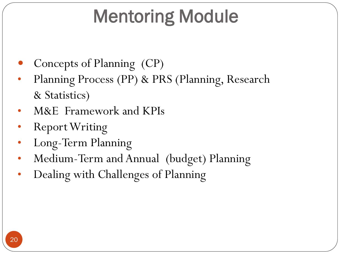# Mentoring Module

- Concepts of Planning (CP)
- Planning Process (PP) & PRS (Planning, Research & Statistics)
- M&E Framework and KPIs
- ReportWriting
- Long-Term Planning
- Medium-Term and Annual (budget) Planning
- Dealing with Challenges of Planning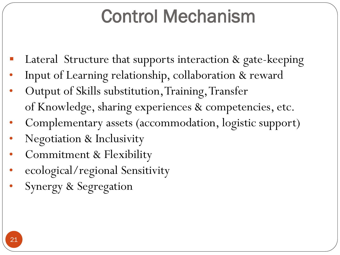# Control Mechanism

- Lateral Structure that supports interaction & gate-keeping
- Input of Learning relationship, collaboration & reward
- Output of Skills substitution,Training,Transfer of Knowledge, sharing experiences & competencies, etc.
- Complementary assets (accommodation, logistic support)
- Negotiation & Inclusivity
- Commitment & Flexibility
- ecological/regional Sensitivity
- Synergy & Segregation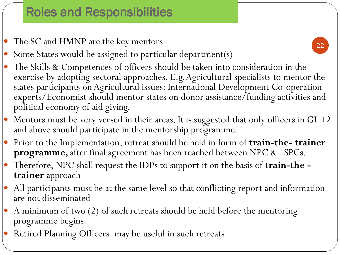- The SC and HMNP are the key mentors
- Some States would be assigned to particular department(s)
- The Skills & Competences of officers should be taken into consideration in the exercise by adopting sectoral approaches. E.g. Agricultural specialists to mentor the states participants on Agricultural issues: International Development Co-operation experts/Economist should mentor states on donor assistance/funding activities and political economy of aid giving.

22

- **Mentors must be very versed in their areas. It is suggested that only officers in GL 12** and above should participate in the mentorship programme.
- Prior to the Implementation, retreat should be held in form of **train-the- trainer programme,** after final agreement has been reached between NPC & SPCs.
- Therefore, NPC shall request the IDPs to support it on the basis of **train-the trainer** approach
- All participants must be at the same level so that conflicting report and information are not disseminated
- A minimum of two (2) of such retreats should be held before the mentoring programme begins
- Retired Planning Officers may be useful in such retreats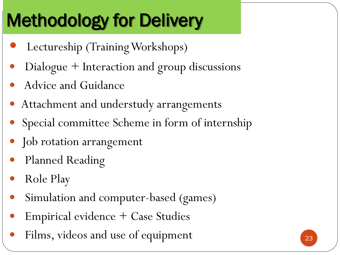# Methodology for Delivery

- Lectureship (Training Workshops)
- Dialogue + Interaction and group discussions
- Advice and Guidance
- Attachment and understudy arrangements
- Special committee Scheme in form of internship
- Job rotation arrangement
- Planned Reading
- Role Play
- Simulation and computer-based (games)
- Empirical evidence + Case Studies
- Films, videos and use of equipment 23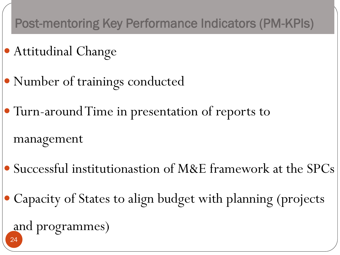- Post-mentoring Key Performance Indicators (PM-KPIs)
- Attitudinal Change
- Number of trainings conducted
- **Turn-around Time in presentation of reports to**

management

- Successful institutionastion of M&E framework at the SPCs
- Capacity of States to align budget with planning (projects

and programmes)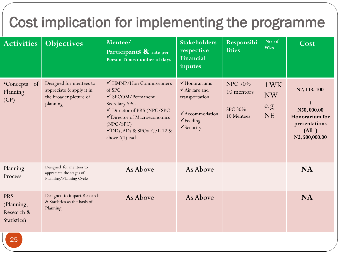## Cost implication for implementing the programme

| <b>Activities</b>                                     | <b>Objectives</b>                                                                         | Mentee/<br>Participants & rate per<br>Person Times number of days                                                                                                                                                                        | <b>Stakeholders</b><br>respective<br>Financial<br>inputes                                                                                              | Responsibi<br><b>lities</b>                                  | No of<br><b>Wks</b>                   | Cost                                                                                                     |
|-------------------------------------------------------|-------------------------------------------------------------------------------------------|------------------------------------------------------------------------------------------------------------------------------------------------------------------------------------------------------------------------------------------|--------------------------------------------------------------------------------------------------------------------------------------------------------|--------------------------------------------------------------|---------------------------------------|----------------------------------------------------------------------------------------------------------|
| •Concepts<br>of<br>Planning<br>(CP)                   | Designed for mentees to<br>appreciate & apply it in<br>the broader picture of<br>planning | $\checkmark$ HMNP/Hon Commissioners<br>of SPC<br>$\checkmark$ SECOM/Permanent<br>Secretary SPC<br>✔ Director of PRS (NPC/SPC<br>Director of Macroeconomics<br>(NPC/SPC)<br>$\sqrt{\text{DDs}}$ , ADs & SPOs G/L 12 &<br>above $(1)$ each | $\checkmark$ Honorariums<br>$\checkmark$ Air fare and<br>transportation<br>$\checkmark$ Accommodation<br>$\checkmark$ Feeding<br>$\checkmark$ Security | <b>NPC 70%</b><br>10 mentors<br><b>SPC 30%</b><br>10 Mentees | 1 WK<br><b>NW</b><br>e.g<br><b>NE</b> | N2, 113, 100<br>$\pm$<br>N50,000.00<br><b>Honorarium</b> for<br>presentations<br>(All)<br>N2, 500,000.00 |
| Planning<br>Process                                   | Designed for mentees to<br>appreciate the stages of<br>Planning/Planning Cycle            | As Above                                                                                                                                                                                                                                 | As Above                                                                                                                                               |                                                              |                                       | <b>NA</b>                                                                                                |
| <b>PRS</b><br>(Planning,<br>Research &<br>Statistics) | Designed to impart Research<br>& Statistics as the basis of<br>Planning                   | As Above                                                                                                                                                                                                                                 | As Above                                                                                                                                               |                                                              |                                       | <b>NA</b>                                                                                                |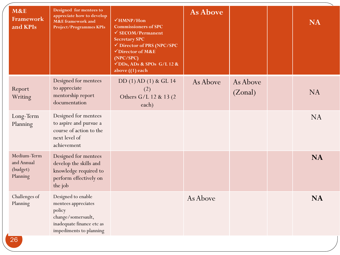| <b>M&amp;E</b><br>Framework<br>and KPIs           | Designed for mentees to<br>appreciate how to develop<br><b>M&amp;E</b> framework and<br><b>Project/Programmes KPIs</b>            | $\sqrt{\text{H} \text{M} \text{N}}$ P/Hon<br><b>Commissioners of SPC</b><br>$\checkmark$ SECOM/Permanent<br><b>Secretary SPC</b><br>√ Director of PRS (NPC/SPC<br>Director of M&E<br>(NPC/SPC)<br>$\sqrt{DDs}$ , ADs & SPOs G/L 12 &<br>above $(1)$ each | <b>As Above</b> |                     | <b>NA</b> |
|---------------------------------------------------|-----------------------------------------------------------------------------------------------------------------------------------|----------------------------------------------------------------------------------------------------------------------------------------------------------------------------------------------------------------------------------------------------------|-----------------|---------------------|-----------|
| Report<br>Writing                                 | Designed for mentees<br>to appreciate<br>mentorship report<br>documentation                                                       | DD (1) AD (1) & GL 14<br>(2)<br>Others G/L 12 & 13 (2)<br>each)                                                                                                                                                                                          | As Above        | As Above<br>(Zonal) | <b>NA</b> |
| Long-Term<br>Planning                             | Designed for mentees<br>to aspire and pursue a<br>course of action to the<br>next level of<br>achievement                         |                                                                                                                                                                                                                                                          |                 |                     | <b>NA</b> |
| Medium-Term<br>and Annual<br>(budget)<br>Planning | Designed for mentees<br>develop the skills and<br>knowledge required to<br>perform effectively on<br>the job                      |                                                                                                                                                                                                                                                          |                 |                     | <b>NA</b> |
| Challenges of<br>Planning<br>26                   | Designed to enable<br>mentees appreciates<br>policy<br>change/somersault,<br>inadequate finance etc as<br>impediments to planning |                                                                                                                                                                                                                                                          | As Above        |                     | <b>NA</b> |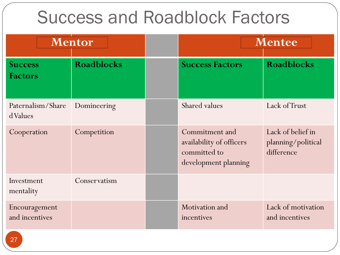# Success and Roadblock Factors

|                                  | Mentor            | Mentee                                                                             |                                                       |  |
|----------------------------------|-------------------|------------------------------------------------------------------------------------|-------------------------------------------------------|--|
| <b>Success</b><br><b>Factors</b> | <b>Roadblocks</b> | <b>Success Factors</b>                                                             | <b>Roadblocks</b>                                     |  |
| Paternalism/Share<br>d Values    | Domineering       | Shared values                                                                      | Lack of Trust                                         |  |
| Cooperation                      | Competition       | Commitment and<br>availability of officers<br>committed to<br>development planning | Lack of belief in<br>planning/political<br>difference |  |
| Investment<br>mentality          | Conservatism      |                                                                                    |                                                       |  |
| Encouragement<br>and incentives  |                   | Motivation and<br>incentives                                                       | Lack of motivation<br>and incentives                  |  |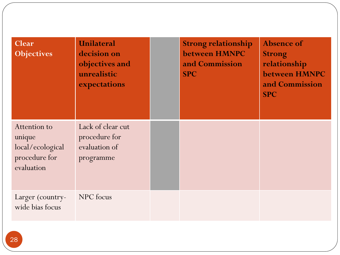| <b>Objectives</b>                                                         | decision on<br>objectives and<br>unrealistic<br>expectations     | <b>between HMNPC</b><br>and Commission<br><b>SPC</b> | <b>Strong</b><br>relationship<br>between HMNPC<br>and Commission<br><b>SPC</b> |
|---------------------------------------------------------------------------|------------------------------------------------------------------|------------------------------------------------------|--------------------------------------------------------------------------------|
| Attention to<br>unique<br>local/ecological<br>procedure for<br>evaluation | Lack of clear cut<br>procedure for<br>evaluation of<br>programme |                                                      |                                                                                |
| Larger (country-<br>wide bias focus                                       | NPC focus                                                        |                                                      |                                                                                |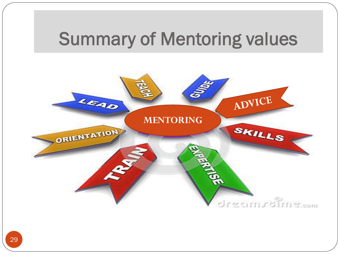# Summary of Mentoring values

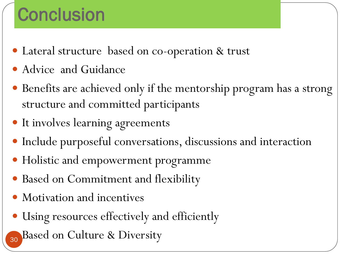# **Conclusion**

- Lateral structure based on co-operation & trust
- Advice and Guidance
- Benefits are achieved only if the mentorship program has a strong structure and committed participants
- It involves learning agreements
- Include purposeful conversations, discussions and interaction
- Holistic and empowerment programme
- Based on Commitment and flexibility
- Motivation and incentives
- Using resources effectively and efficiently
- 30 Based on Culture & Diversity